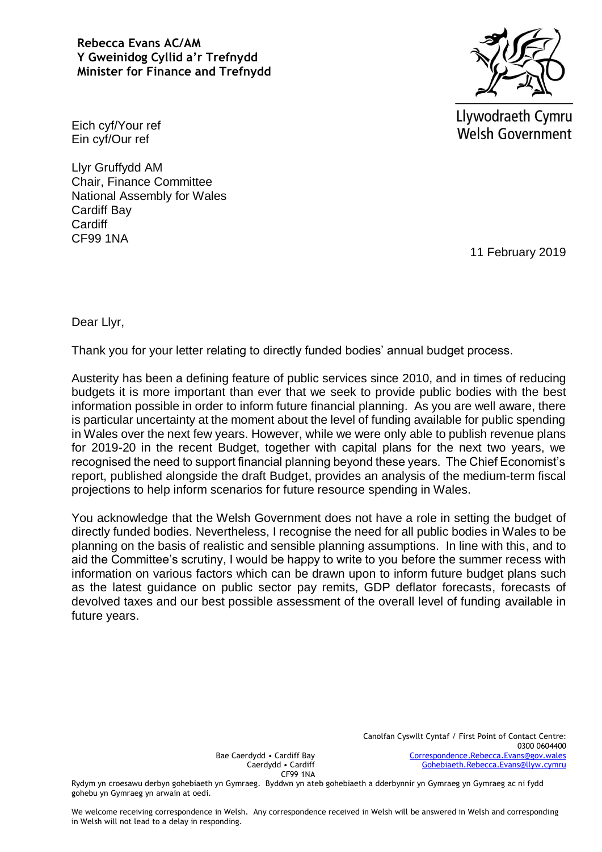## **Rebecca Evans AC/AM Y Gweinidog Cyllid a'r Trefnydd Minister for Finance and Trefnydd**



Llywodraeth Cymru **Welsh Government** 

Eich cyf/Your ref Ein cyf/Our ref

Llyr Gruffydd AM Chair, Finance Committee National Assembly for Wales Cardiff Bay **Cardiff** CF99 1NA

11 February 2019

Dear Llyr,

Thank you for your letter relating to directly funded bodies' annual budget process.

Austerity has been a defining feature of public services since 2010, and in times of reducing budgets it is more important than ever that we seek to provide public bodies with the best information possible in order to inform future financial planning. As you are well aware, there is particular uncertainty at the moment about the level of funding available for public spending in Wales over the next few years. However, while we were only able to publish revenue plans for 2019-20 in the recent Budget, together with capital plans for the next two years, we recognised the need to support financial planning beyond these years. The Chief Economist's report, published alongside the draft Budget, provides an analysis of the medium-term fiscal projections to help inform scenarios for future resource spending in Wales.

You acknowledge that the Welsh Government does not have a role in setting the budget of directly funded bodies. Nevertheless, I recognise the need for all public bodies in Wales to be planning on the basis of realistic and sensible planning assumptions. In line with this, and to aid the Committee's scrutiny, I would be happy to write to you before the summer recess with information on various factors which can be drawn upon to inform future budget plans such as the latest guidance on public sector pay remits, GDP deflator forecasts, forecasts of devolved taxes and our best possible assessment of the overall level of funding available in future years.

Bae Caerdydd • Cardiff Bay Caerdydd • Cardiff CF99 1NA

Rydym yn croesawu derbyn gohebiaeth yn Gymraeg. Byddwn yn ateb gohebiaeth a dderbynnir yn Gymraeg yn Gymraeg ac ni fydd gohebu yn Gymraeg yn arwain at oedi.

We welcome receiving correspondence in Welsh. Any correspondence received in Welsh will be answered in Welsh and corresponding in Welsh will not lead to a delay in responding.